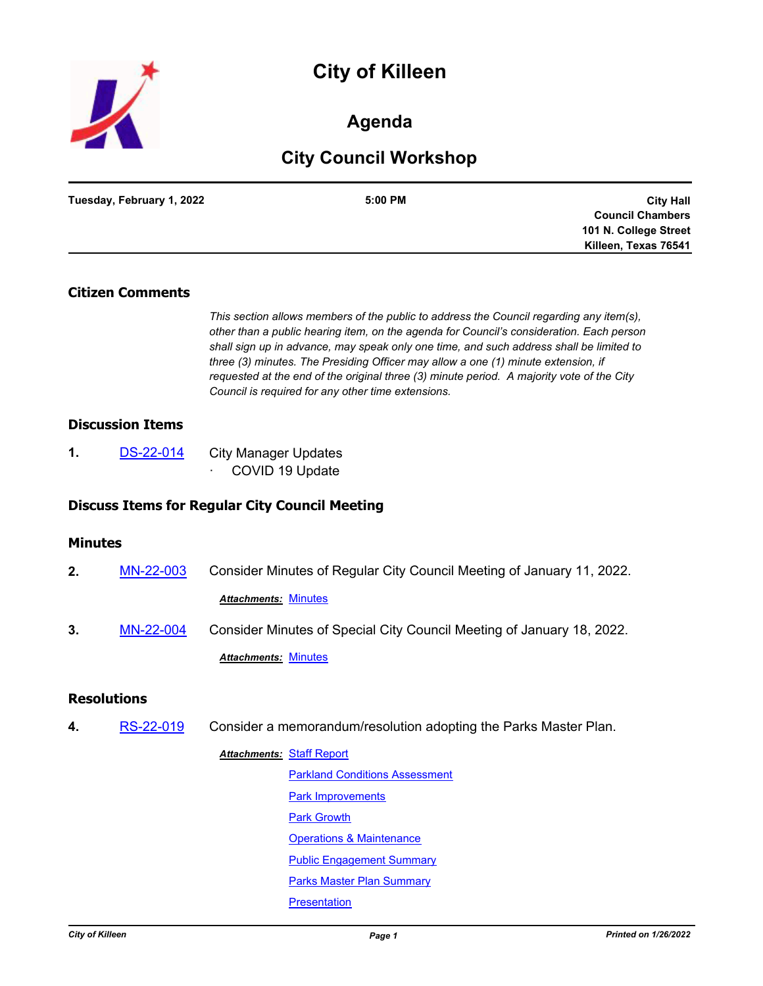



# **Agenda**

# **City Council Workshop**

| Tuesday, February 1, 2022 | 5:00 PM | <b>City Hall</b>        |
|---------------------------|---------|-------------------------|
|                           |         | <b>Council Chambers</b> |
|                           |         | 101 N. College Street   |
|                           |         | Killeen, Texas 76541    |

#### **Citizen Comments**

*This section allows members of the public to address the Council regarding any item(s), other than a public hearing item, on the agenda for Council's consideration. Each person shall sign up in advance, may speak only one time, and such address shall be limited to three (3) minutes. The Presiding Officer may allow a one (1) minute extension, if requested at the end of the original three (3) minute period. A majority vote of the City Council is required for any other time extensions.*

#### **Discussion Items**

**1.** [DS-22-014](http://killeen.legistar.com/gateway.aspx?m=l&id=/matter.aspx?key=5956) City Manager Updates COVID 19 Update

#### **Discuss Items for Regular City Council Meeting**

#### **Minutes**

**2.** [MN-22-003](http://killeen.legistar.com/gateway.aspx?m=l&id=/matter.aspx?key=5944) Consider Minutes of Regular City Council Meeting of January 11, 2022. *Attachments:* [Minutes](http://killeen.legistar.com/gateway.aspx?M=F&ID=acea90dd-ee45-43e6-8e6c-5c7e23d2d6bb.pdf) **3.** [MN-22-004](http://killeen.legistar.com/gateway.aspx?m=l&id=/matter.aspx?key=5954) Consider Minutes of Special City Council Meeting of January 18, 2022. *Attachments:* [Minutes](http://killeen.legistar.com/gateway.aspx?M=F&ID=2f13a7c1-dc80-49bf-890f-89752cfeea4f.pdf)

# **Resolutions**

**4.** [RS-22-019](http://killeen.legistar.com/gateway.aspx?m=l&id=/matter.aspx?key=5929) Consider a memorandum/resolution adopting the Parks Master Plan.

**Attachments: [Staff Report](http://killeen.legistar.com/gateway.aspx?M=F&ID=b41f92eb-79da-4b49-9197-2df346a35e76.pdf)** [Parkland Conditions Assessment](http://killeen.legistar.com/gateway.aspx?M=F&ID=42c8f7e1-1ac3-4b50-b48b-a0d11714e698.pdf) [Park Improvements](http://killeen.legistar.com/gateway.aspx?M=F&ID=d06071fd-59ba-4bd8-9504-f08fba02fe84.pdf) [Park Growth](http://killeen.legistar.com/gateway.aspx?M=F&ID=66674180-bb4d-4eb9-bb4f-e8b79a48297d.pdf) [Operations & Maintenance](http://killeen.legistar.com/gateway.aspx?M=F&ID=a1319c2f-07c9-4228-a6ce-9f2907a7dae4.pdf) [Public Engagement Summary](http://killeen.legistar.com/gateway.aspx?M=F&ID=7f180908-53f1-4aff-815a-968b84b9476d.pdf) **[Parks Master Plan Summary](http://killeen.legistar.com/gateway.aspx?M=F&ID=73ced9ee-ce81-414c-bbba-a699d4117c48.pdf) [Presentation](http://killeen.legistar.com/gateway.aspx?M=F&ID=216cae5c-b7cf-45e6-8dc3-22d2fe09ad6d.pdf)**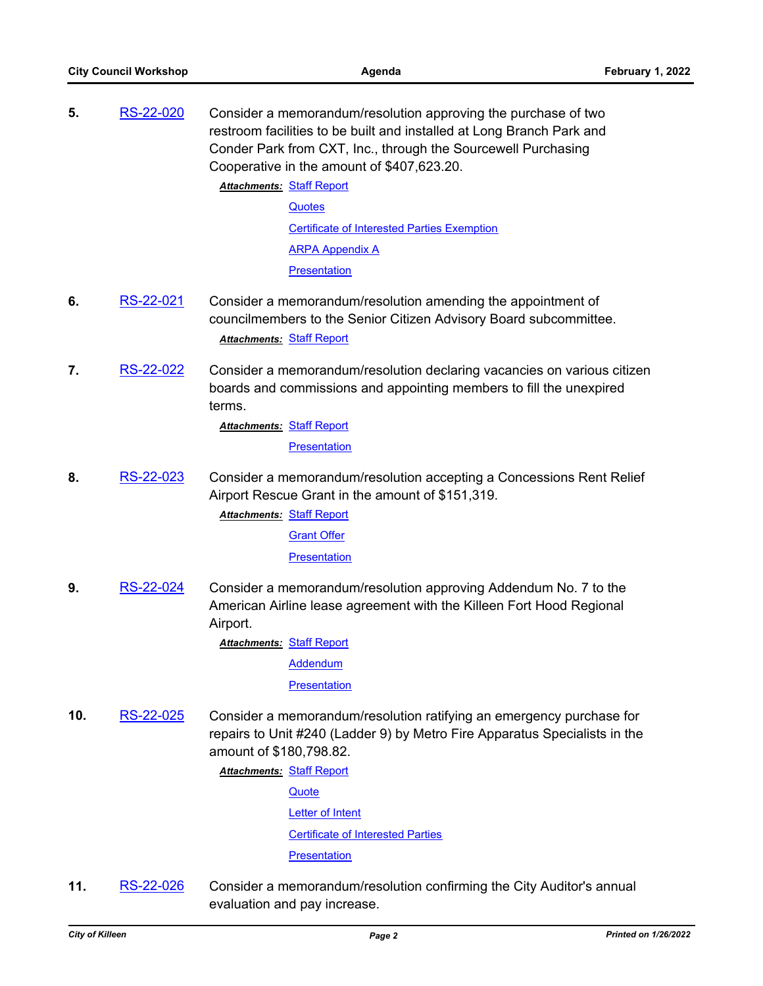**5.** [RS-22-020](http://killeen.legistar.com/gateway.aspx?m=l&id=/matter.aspx?key=5937) Consider a memorandum/resolution approving the purchase of two restroom facilities to be built and installed at Long Branch Park and Conder Park from CXT, Inc., through the Sourcewell Purchasing Cooperative in the amount of \$407,623.20.

**Attachments: [Staff Report](http://killeen.legistar.com/gateway.aspx?M=F&ID=4d571b2e-4310-4aa9-9181-15bcd362f59a.pdf)** 

**[Quotes](http://killeen.legistar.com/gateway.aspx?M=F&ID=70219672-9362-4006-a60f-a0a7aa0ca422.pdf)** 

[Certificate of Interested Parties Exemption](http://killeen.legistar.com/gateway.aspx?M=F&ID=c55dad8f-8852-4ed8-83b5-420f449e3601.pdf)

[ARPA Appendix A](http://killeen.legistar.com/gateway.aspx?M=F&ID=83fc5d94-d768-4aca-a3f8-af10f82851c7.pdf)

**[Presentation](http://killeen.legistar.com/gateway.aspx?M=F&ID=0edabe9d-9883-4d72-a4af-ed548269c1a1.pdf)** 

- **6.** [RS-22-021](http://killeen.legistar.com/gateway.aspx?m=l&id=/matter.aspx?key=5965) Consider a memorandum/resolution amending the appointment of councilmembers to the Senior Citizen Advisory Board subcommittee. *Attachments:* [Staff Report](http://killeen.legistar.com/gateway.aspx?M=F&ID=39292e40-7ec3-4ceb-b65b-25e8cf6be4fe.pdf)
- **7.** [RS-22-022](http://killeen.legistar.com/gateway.aspx?m=l&id=/matter.aspx?key=5931) Consider a memorandum/resolution declaring vacancies on various citizen boards and commissions and appointing members to fill the unexpired terms.

**Attachments: [Staff Report](http://killeen.legistar.com/gateway.aspx?M=F&ID=07e8810c-068b-44bf-bfe4-6e0168e053bf.pdf)** 

**[Presentation](http://killeen.legistar.com/gateway.aspx?M=F&ID=f32e9707-7f93-4c14-9927-b5bfa6f98e70.pdf)** 

**8.** [RS-22-023](http://killeen.legistar.com/gateway.aspx?m=l&id=/matter.aspx?key=5934) Consider a memorandum/resolution accepting a Concessions Rent Relief Airport Rescue Grant in the amount of \$151,319.

> **Attachments: [Staff Report](http://killeen.legistar.com/gateway.aspx?M=F&ID=01733ce0-3952-4dbc-aa22-6f303e4c19c4.pdf)** [Grant Offer](http://killeen.legistar.com/gateway.aspx?M=F&ID=ab5f175c-b818-4627-8149-bdbec9ad0cf5.pdf)

> > **[Presentation](http://killeen.legistar.com/gateway.aspx?M=F&ID=5d6dc9aa-2845-4062-8ce1-98c44d247c53.pdf)**

**9.** [RS-22-024](http://killeen.legistar.com/gateway.aspx?m=l&id=/matter.aspx?key=5936) Consider a memorandum/resolution approving Addendum No. 7 to the American Airline lease agreement with the Killeen Fort Hood Regional Airport.

**Attachments: [Staff Report](http://killeen.legistar.com/gateway.aspx?M=F&ID=777171c1-e29a-4f88-b491-7218d5342242.pdf)** 

[Addendum](http://killeen.legistar.com/gateway.aspx?M=F&ID=709e5eb3-2d4d-4ed8-9794-0b09ebdc1e8a.pdf)

**[Presentation](http://killeen.legistar.com/gateway.aspx?M=F&ID=5c2ca087-6d9b-4b1a-8fe6-a98762d36bb8.pdf)** 

**10.** [RS-22-025](http://killeen.legistar.com/gateway.aspx?m=l&id=/matter.aspx?key=5939) Consider a memorandum/resolution ratifying an emergency purchase for repairs to Unit #240 (Ladder 9) by Metro Fire Apparatus Specialists in the amount of \$180,798.82.

**Attachments: [Staff Report](http://killeen.legistar.com/gateway.aspx?M=F&ID=17b5ce42-4ab8-4db4-9b2b-e814c02744ce.pdf)** 

**[Quote](http://killeen.legistar.com/gateway.aspx?M=F&ID=2db9ffb6-e8f8-4227-839d-2e7593f4b630.pdf)** [Letter of Intent](http://killeen.legistar.com/gateway.aspx?M=F&ID=9ebd2ad9-9fe3-4003-b59f-8a15fc90dcca.pdf)

[Certificate of Interested Parties](http://killeen.legistar.com/gateway.aspx?M=F&ID=36088979-290b-4ee8-a8e2-1e9ba39284ec.pdf)

**[Presentation](http://killeen.legistar.com/gateway.aspx?M=F&ID=95e84b76-866f-44f4-84f2-0c607d241dac.pdf)** 

**11.** [RS-22-026](http://killeen.legistar.com/gateway.aspx?m=l&id=/matter.aspx?key=5930) Consider a memorandum/resolution confirming the City Auditor's annual evaluation and pay increase.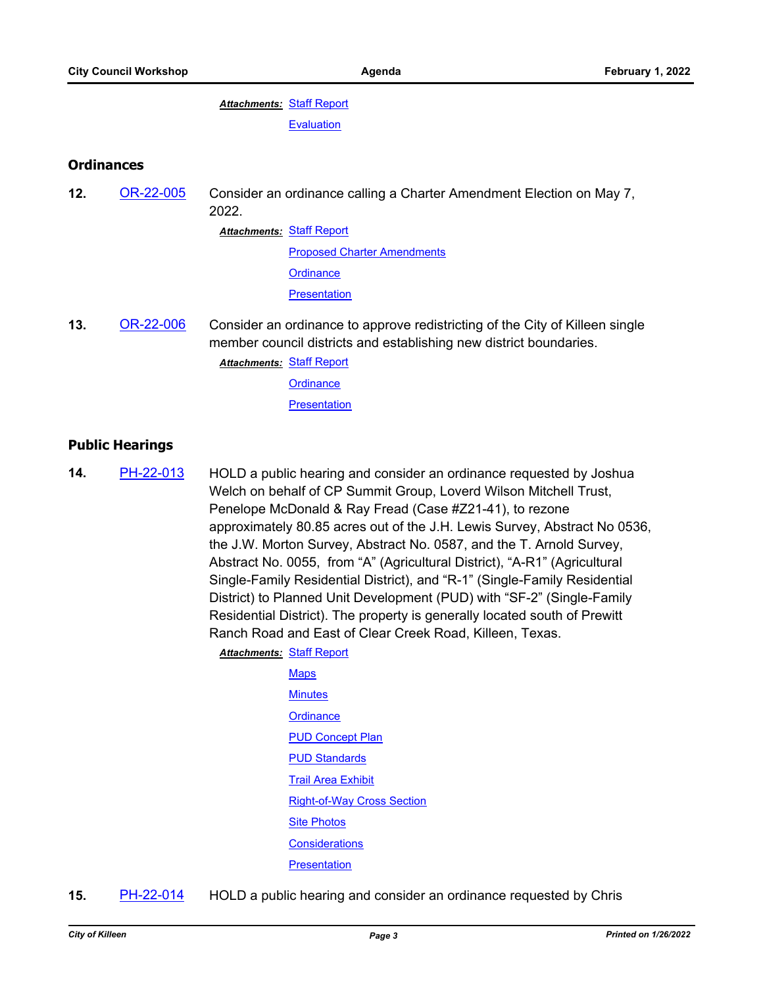**Attachments: [Staff Report](http://killeen.legistar.com/gateway.aspx?M=F&ID=fa1a77a0-cd86-4448-b18c-70fd4a763023.pdf) [Evaluation](http://killeen.legistar.com/gateway.aspx?M=F&ID=76e08e47-e2df-4f62-913b-7b761ccebfa6.pdf)** 

#### **Ordinances**

**12.** [OR-22-005](http://killeen.legistar.com/gateway.aspx?m=l&id=/matter.aspx?key=5945) Consider an ordinance calling a Charter Amendment Election on May 7, 2022. **Attachments: [Staff Report](http://killeen.legistar.com/gateway.aspx?M=F&ID=a8c94561-1848-4e72-909c-87f56f5008e1.pdf)** [Proposed Charter Amendments](http://killeen.legistar.com/gateway.aspx?M=F&ID=15aad874-461a-4206-8041-6e845fb034e4.pdf) **[Ordinance](http://killeen.legistar.com/gateway.aspx?M=F&ID=d8c12fdb-148b-4b6a-92e8-9f94155b7f83.pdf)** 

**[Presentation](http://killeen.legistar.com/gateway.aspx?M=F&ID=a22e9010-7363-47a7-a20b-0022260d6b57.pdf)** 

**13.** [OR-22-006](http://killeen.legistar.com/gateway.aspx?m=l&id=/matter.aspx?key=5958) Consider an ordinance to approve redistricting of the City of Killeen single member council districts and establishing new district boundaries.

**Attachments: [Staff Report](http://killeen.legistar.com/gateway.aspx?M=F&ID=6fcc13e2-3ebc-4d45-ba52-2f0bc36a13dc.pdf)** 

**[Ordinance](http://killeen.legistar.com/gateway.aspx?M=F&ID=34d28138-58d7-4fa7-9b35-00ecbe56cba2.pdf)** 

**[Presentation](http://killeen.legistar.com/gateway.aspx?M=F&ID=eea65104-2072-475a-b82b-ed9a745c8a11.pdf)** 

### **Public Hearings**

**14.** [PH-22-013](http://killeen.legistar.com/gateway.aspx?m=l&id=/matter.aspx?key=5882) HOLD a public hearing and consider an ordinance requested by Joshua Welch on behalf of CP Summit Group, Loverd Wilson Mitchell Trust, Penelope McDonald & Ray Fread (Case #Z21-41), to rezone approximately 80.85 acres out of the J.H. Lewis Survey, Abstract No 0536, the J.W. Morton Survey, Abstract No. 0587, and the T. Arnold Survey, Abstract No. 0055, from "A" (Agricultural District), "A-R1" (Agricultural Single-Family Residential District), and "R-1" (Single-Family Residential District) to Planned Unit Development (PUD) with "SF-2" (Single-Family Residential District). The property is generally located south of Prewitt Ranch Road and East of Clear Creek Road, Killeen, Texas.

**Attachments: [Staff Report](http://killeen.legistar.com/gateway.aspx?M=F&ID=cc5b5b20-446a-4079-89e8-eec87e77e1c7.pdf)** 

[Maps](http://killeen.legistar.com/gateway.aspx?M=F&ID=325b89c8-d2fd-4066-9e4d-fa58fad6d707.pdf) **[Minutes](http://killeen.legistar.com/gateway.aspx?M=F&ID=e8cda71c-cb2c-4571-b109-a057e4fdba80.pdf) [Ordinance](http://killeen.legistar.com/gateway.aspx?M=F&ID=5811de3c-e366-4c9c-88fc-d5d30a6313f5.pdf) [PUD Concept Plan](http://killeen.legistar.com/gateway.aspx?M=F&ID=9fa5a437-5aba-4801-83e1-5ddc0c7299ef.pdf) [PUD Standards](http://killeen.legistar.com/gateway.aspx?M=F&ID=93cb9ca9-d8f1-4429-a30e-43c4d93a1da5.pdf)** [Trail Area Exhibit](http://killeen.legistar.com/gateway.aspx?M=F&ID=0a7de0b3-7ee3-45f1-9298-64baf5101f69.pdf) [Right-of-Way Cross Section](http://killeen.legistar.com/gateway.aspx?M=F&ID=3506e061-2db9-4ef3-a0fb-929bcd7579a8.pdf) [Site Photos](http://killeen.legistar.com/gateway.aspx?M=F&ID=dc5aea95-d167-42b0-8ddd-152464c84ff8.pdf) **[Considerations](http://killeen.legistar.com/gateway.aspx?M=F&ID=cc59f48e-473d-4296-a63b-ff7ec615b5a9.pdf) [Presentation](http://killeen.legistar.com/gateway.aspx?M=F&ID=4926ab8c-68b8-4eb6-b4bf-2f9c756aa3a2.pdf)** 

**15.** [PH-22-014](http://killeen.legistar.com/gateway.aspx?m=l&id=/matter.aspx?key=5902) HOLD a public hearing and consider an ordinance requested by Chris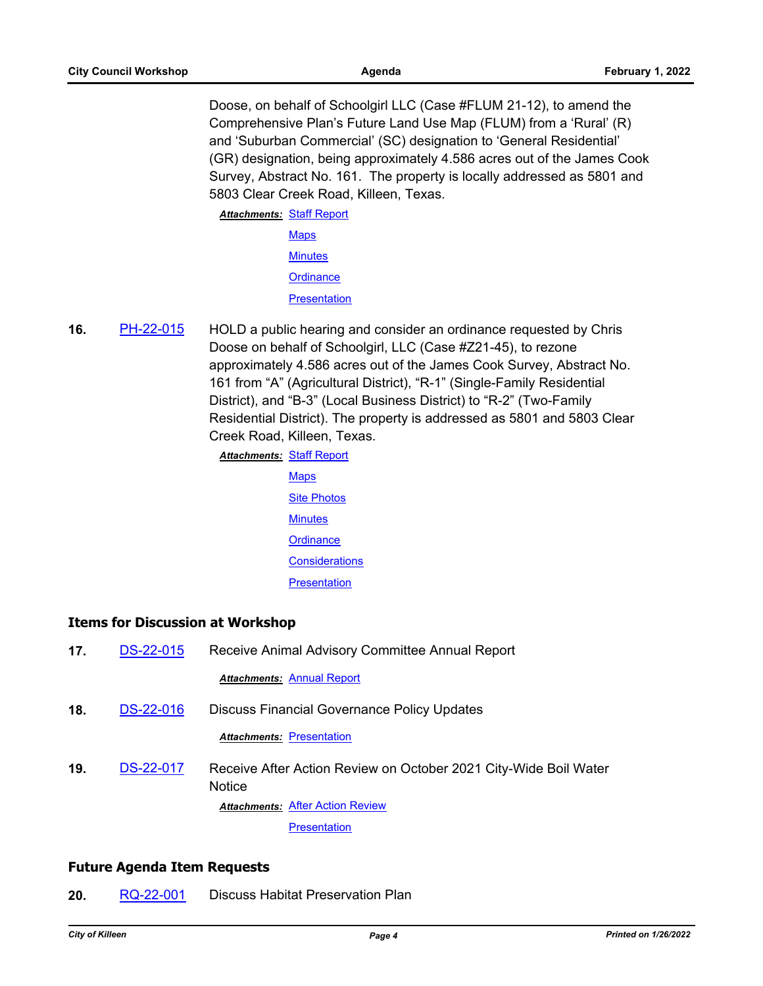Doose, on behalf of Schoolgirl LLC (Case #FLUM 21-12), to amend the Comprehensive Plan's Future Land Use Map (FLUM) from a 'Rural' (R) and 'Suburban Commercial' (SC) designation to 'General Residential' (GR) designation, being approximately 4.586 acres out of the James Cook Survey, Abstract No. 161. The property is locally addressed as 5801 and 5803 Clear Creek Road, Killeen, Texas.

**Attachments: [Staff Report](http://killeen.legistar.com/gateway.aspx?M=F&ID=424e7066-9b1c-4883-9115-694d1474c18f.pdf)** [Maps](http://killeen.legistar.com/gateway.aspx?M=F&ID=7d953e59-c946-45a3-a368-aa920a6dd374.pdf) **[Minutes](http://killeen.legistar.com/gateway.aspx?M=F&ID=ac8b48c1-04b5-41f5-bef8-9af42135f674.pdf) [Ordinance](http://killeen.legistar.com/gateway.aspx?M=F&ID=f5190498-b6f6-485c-8948-7ffdc90286ad.pdf) [Presentation](http://killeen.legistar.com/gateway.aspx?M=F&ID=3012c268-36b6-492f-ad23-b8c28497351d.pdf)** 

**16.** [PH-22-015](http://killeen.legistar.com/gateway.aspx?m=l&id=/matter.aspx?key=5903) HOLD a public hearing and consider an ordinance requested by Chris Doose on behalf of Schoolgirl, LLC (Case #Z21-45), to rezone approximately 4.586 acres out of the James Cook Survey, Abstract No. 161 from "A" (Agricultural District), "R-1" (Single-Family Residential District), and "B-3" (Local Business District) to "R-2" (Two-Family Residential District). The property is addressed as 5801 and 5803 Clear Creek Road, Killeen, Texas.

**Attachments: [Staff Report](http://killeen.legistar.com/gateway.aspx?M=F&ID=20cb2a28-43e7-44ad-89d6-c1b9fffe09c7.pdf)** 

**[Maps](http://killeen.legistar.com/gateway.aspx?M=F&ID=2e7b77ce-8355-4aa0-b347-db90872251c7.pdf)** [Site Photos](http://killeen.legistar.com/gateway.aspx?M=F&ID=9445ca94-23ff-4dac-9d8e-0b7005694bba.pdf) **[Minutes](http://killeen.legistar.com/gateway.aspx?M=F&ID=2c5d8ee5-0345-42e2-8920-736bc75754dd.pdf) [Ordinance](http://killeen.legistar.com/gateway.aspx?M=F&ID=6db676c4-d08a-4080-bd6c-1feaee8e6954.pdf) [Considerations](http://killeen.legistar.com/gateway.aspx?M=F&ID=31893faf-3835-4327-b86e-524001d595d6.pdf) [Presentation](http://killeen.legistar.com/gateway.aspx?M=F&ID=885e5f7b-91a4-4bce-b9bb-3d55e9b72756.pdf)** 

# **Items for Discussion at Workshop**

**17.** [DS-22-015](http://killeen.legistar.com/gateway.aspx?m=l&id=/matter.aspx?key=5940) Receive Animal Advisory Committee Annual Report *Attachments:* [Annual Report](http://killeen.legistar.com/gateway.aspx?M=F&ID=8c8399f0-1fd9-47f1-9a5d-ae37eea5bda3.pdf) **18.** [DS-22-016](http://killeen.legistar.com/gateway.aspx?m=l&id=/matter.aspx?key=5941) Discuss Financial Governance Policy Updates **Attachments: [Presentation](http://killeen.legistar.com/gateway.aspx?M=F&ID=8fc22231-efe3-499e-a9fe-cfce140af6bd.pdf) 19.** [DS-22-017](http://killeen.legistar.com/gateway.aspx?m=l&id=/matter.aspx?key=5943) Receive After Action Review on October 2021 City-Wide Boil Water **Notice Attachments: [After Action Review](http://killeen.legistar.com/gateway.aspx?M=F&ID=75668ba3-0ac7-4039-b4b3-6f50d9d1dab4.pdf) [Presentation](http://killeen.legistar.com/gateway.aspx?M=F&ID=1f5b07f9-55c9-42b8-bcff-5f8bf752c372.pdf)** 

# **Future Agenda Item Requests**

**20.** [RQ-22-001](http://killeen.legistar.com/gateway.aspx?m=l&id=/matter.aspx?key=5959) Discuss Habitat Preservation Plan